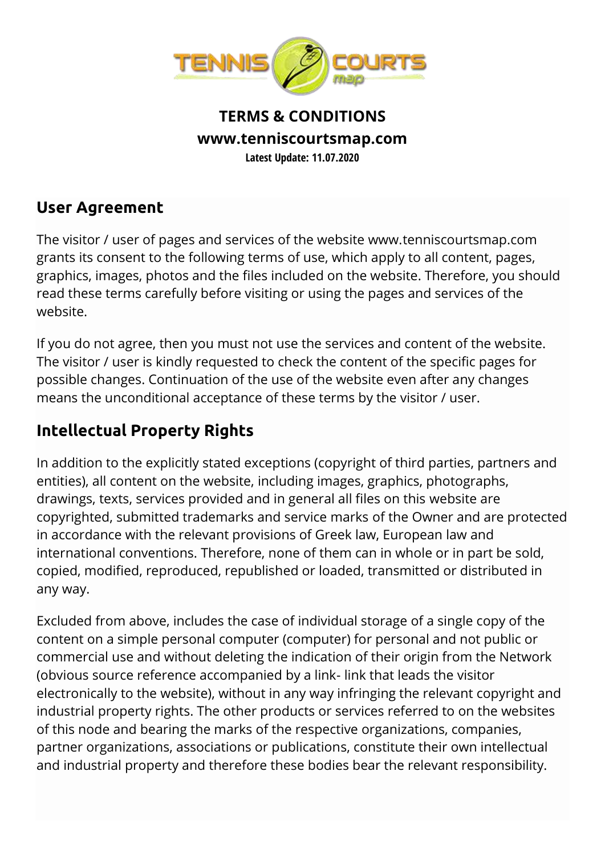

#### **TERMS & CONDITIONS www.tenniscourtsmap.com Latest Update: 11.07.2020**

#### **User Agreement**

The visitor / user of pages and services of the website www.tenniscourtsmap.com grants its consent to the following terms of use, which apply to all content, pages, graphics, images, photos and the files included on the website. Therefore, you should read these terms carefully before visiting or using the pages and services of the website.

If you do not agree, then you must not use the services and content of the website. The visitor / user is kindly requested to check the content of the specific pages for possible changes. Continuation of the use of the website even after any changes means the unconditional acceptance of these terms by the visitor / user.

# **Intellectual Property Rights**

In addition to the explicitly stated exceptions (copyright of third parties, partners and entities), all content on the website, including images, graphics, photographs, drawings, texts, services provided and in general all files on this website are copyrighted, submitted trademarks and service marks of the Owner and are protected in accordance with the relevant provisions of Greek law, European law and international conventions. Therefore, none of them can in whole or in part be sold, copied, modified, reproduced, republished or loaded, transmitted or distributed in any way.

Excluded from above, includes the case of individual storage of a single copy of the content on a simple personal computer (computer) for personal and not public or commercial use and without deleting the indication of their origin from the Network (obvious source reference accompanied by a link- link that leads the visitor electronically to the website), without in any way infringing the relevant copyright and industrial property rights. The other products or services referred to on the websites of this node and bearing the marks of the respective organizations, companies, partner organizations, associations or publications, constitute their own intellectual and industrial property and therefore these bodies bear the relevant responsibility.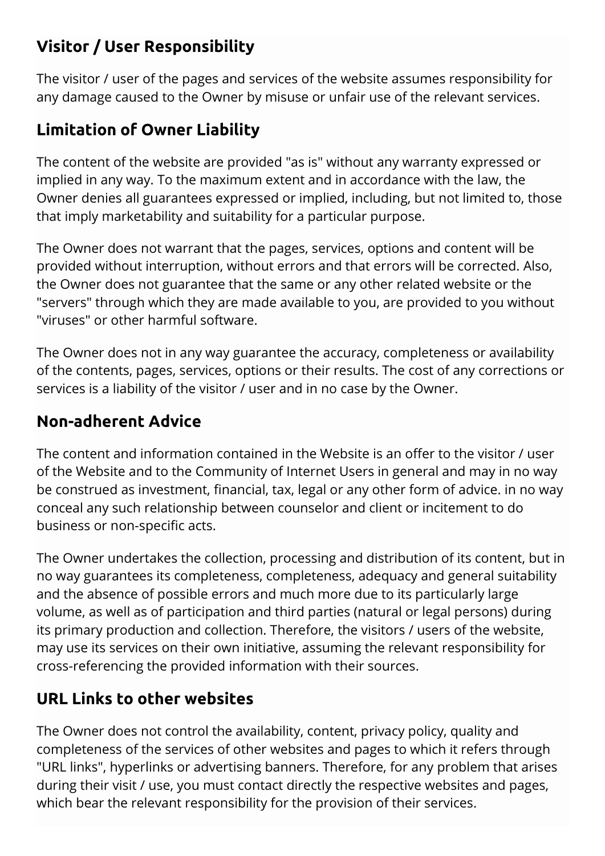# **Visitor / User Responsibility**

The visitor / user of the pages and services of the website assumes responsibility for any damage caused to the Owner by misuse or unfair use of the relevant services.

# **Limitation of Owner Liability**

The content of the website are provided "as is" without any warranty expressed or implied in any way. To the maximum extent and in accordance with the law, the Owner denies all guarantees expressed or implied, including, but not limited to, those that imply marketability and suitability for a particular purpose.

The Owner does not warrant that the pages, services, options and content will be provided without interruption, without errors and that errors will be corrected. Also, the Owner does not guarantee that the same or any other related website or the "servers" through which they are made available to you, are provided to you without "viruses" or other harmful software.

The Owner does not in any way guarantee the accuracy, completeness or availability of the contents, pages, services, options or their results. The cost of any corrections or services is a liability of the visitor / user and in no case by the Owner.

#### **Non-adherent Advice**

The content and information contained in the Website is an offer to the visitor / user of the Website and to the Community of Internet Users in general and may in no way be construed as investment, financial, tax, legal or any other form of advice. in no way conceal any such relationship between counselor and client or incitement to do business or non-specific acts.

The Owner undertakes the collection, processing and distribution of its content, but in no way guarantees its completeness, completeness, adequacy and general suitability and the absence of possible errors and much more due to its particularly large volume, as well as of participation and third parties (natural or legal persons) during its primary production and collection. Therefore, the visitors / users of the website, may use its services on their own initiative, assuming the relevant responsibility for cross-referencing the provided information with their sources.

# **URL Links to other websites**

The Owner does not control the availability, content, privacy policy, quality and completeness of the services of other websites and pages to which it refers through "URL links", hyperlinks or advertising banners. Therefore, for any problem that arises during their visit / use, you must contact directly the respective websites and pages, which bear the relevant responsibility for the provision of their services.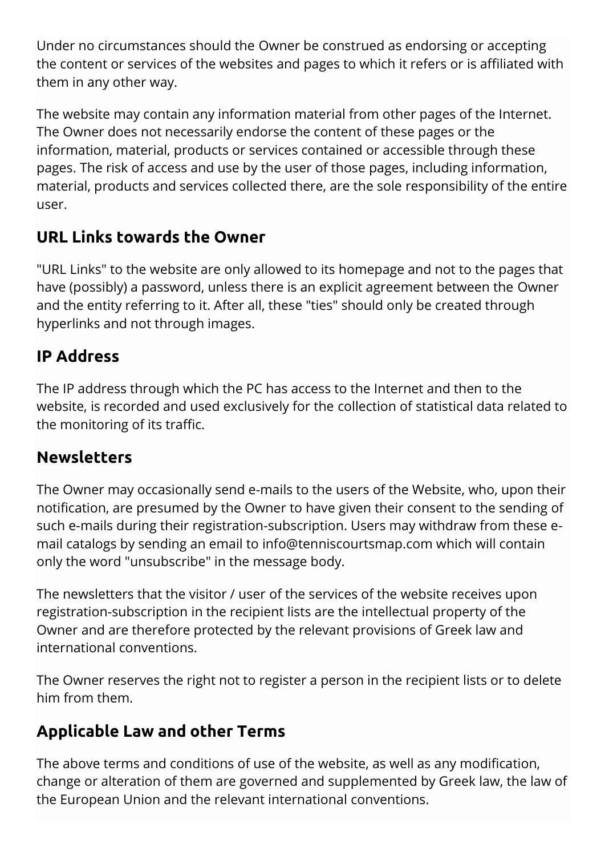Under no circumstances should the Owner be construed as endorsing or accepting the content or services of the websites and pages to which it refers or is affiliated with them in any other way.

The website may contain any information material from other pages of the Internet. The Owner does not necessarily endorse the content of these pages or the information, material, products or services contained or accessible through these pages. The risk of access and use by the user of those pages, including information, material, products and services collected there, are the sole responsibility of the entire user.

# **URL Links towards the Owner**

"URL Links" to the website are only allowed to its homepage and not to the pages that have (possibly) a password, unless there is an explicit agreement between the Owner and the entity referring to it. After all, these "ties" should only be created through hyperlinks and not through images.

# **IP Address**

The IP address through which the PC has access to the Internet and then to the website, is recorded and used exclusively for the collection of statistical data related to the monitoring of its traffic.

#### **Newsletters**

The Owner may occasionally send e-mails to the users of the Website, who, upon their notification, are presumed by the Owner to have given their consent to the sending of such e-mails during their registration-subscription. Users may withdraw from these email catalogs by sending an email to info@tenniscourtsmap.com which will contain only the word "unsubscribe" in the message body.

The newsletters that the visitor / user of the services of the website receives upon registration-subscription in the recipient lists are the intellectual property of the Owner and are therefore protected by the relevant provisions of Greek law and international conventions.

The Owner reserves the right not to register a person in the recipient lists or to delete him from them.

#### **Applicable Law and other Terms**

The above terms and conditions of use of the website, as well as any modification, change or alteration of them are governed and supplemented by Greek law, the law of the European Union and the relevant international conventions.